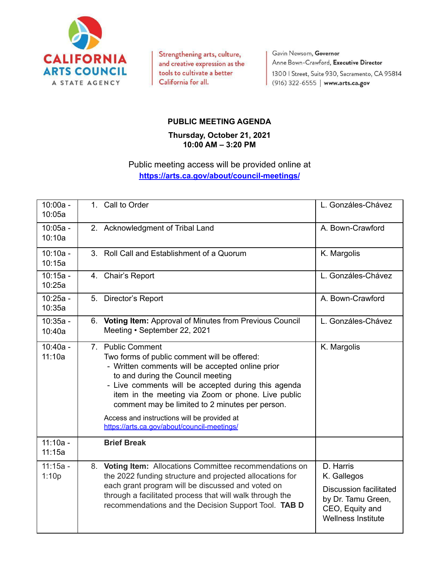

Strengthening arts, culture, and creative expression as the tools to cultivate a better California for all.

Gavin Newsom, Governor Anne Bown-Crawford, Executive Director 1300 | Street, Suite 930, Sacramento, CA 95814 (916) 322-6555 | www.arts.ca.gov

## **PUBLIC MEETING AGENDA**

## **Thursday, October 21, 2021 10:00 AM – 3:20 PM**

## Public meeting access will be provided online at **<https://arts.ca.gov/about/council-meetings/>**

| $10:00a -$<br>10:05a |    | 1. Call to Order                                                                                                                                                                                                                                                                                                           | L. Gonzáles-Chávez                                                                                                              |
|----------------------|----|----------------------------------------------------------------------------------------------------------------------------------------------------------------------------------------------------------------------------------------------------------------------------------------------------------------------------|---------------------------------------------------------------------------------------------------------------------------------|
| $10:05a -$<br>10:10a |    | 2. Acknowledgment of Tribal Land                                                                                                                                                                                                                                                                                           | A. Bown-Crawford                                                                                                                |
| $10:10a -$<br>10:15a | 3. | Roll Call and Establishment of a Quorum                                                                                                                                                                                                                                                                                    | K. Margolis                                                                                                                     |
| $10:15a -$<br>10:25a |    | 4. Chair's Report                                                                                                                                                                                                                                                                                                          | L. Gonzáles-Chávez                                                                                                              |
| $10:25a -$<br>10:35a |    | 5. Director's Report                                                                                                                                                                                                                                                                                                       | A. Bown-Crawford                                                                                                                |
| $10:35a -$<br>10:40a |    | 6. Voting Item: Approval of Minutes from Previous Council<br>Meeting • September 22, 2021                                                                                                                                                                                                                                  | L. Gonzáles-Chávez                                                                                                              |
| $10:40a -$<br>11:10a |    | 7. Public Comment<br>Two forms of public comment will be offered:<br>- Written comments will be accepted online prior<br>to and during the Council meeting<br>- Live comments will be accepted during this agenda<br>item in the meeting via Zoom or phone. Live public<br>comment may be limited to 2 minutes per person. | K. Margolis                                                                                                                     |
|                      |    | Access and instructions will be provided at<br>https://arts.ca.gov/about/council-meetings/                                                                                                                                                                                                                                 |                                                                                                                                 |
| $11:10a -$<br>11:15a |    | <b>Brief Break</b>                                                                                                                                                                                                                                                                                                         |                                                                                                                                 |
| $11:15a -$<br>1:10p  |    | 8. Voting Item: Allocations Committee recommendations on<br>the 2022 funding structure and projected allocations for<br>each grant program will be discussed and voted on<br>through a facilitated process that will walk through the<br>recommendations and the Decision Support Tool. TAB D                              | D. Harris<br>K. Gallegos<br><b>Discussion facilitated</b><br>by Dr. Tamu Green,<br>CEO, Equity and<br><b>Wellness Institute</b> |